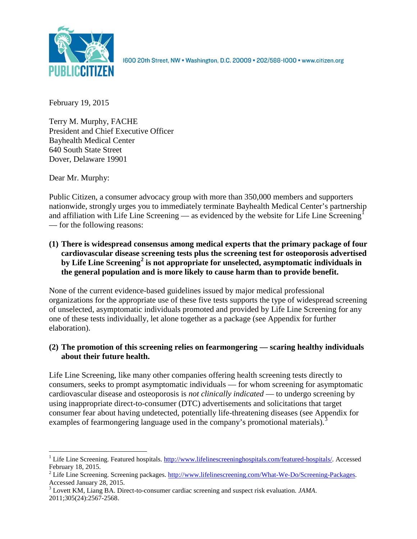

1600 20th Street, NW . Washington, D.C. 20009 . 202/588-1000 . www.citizen.org

February 19, 2015

Terry M. Murphy, FACHE President and Chief Executive Officer Bayhealth Medical Center 640 South State Street Dover, Delaware 19901

Dear Mr. Murphy:

Public Citizen, a consumer advocacy group with more than 350,000 members and supporters nationwide, strongly urges you to immediately terminate Bayhealth Medical Center's partnership and affiliation with Life Line Screening — as evidenced by the website for Life Line Screening<sup>[1](#page-0-0)</sup> — for the following reasons:

**(1) There is widespread consensus among medical experts that the primary package of four cardiovascular disease screening tests plus the screening test for osteoporosis advertised by Life Line Screening[2](#page-0-1) is not appropriate for unselected, asymptomatic individuals in the general population and is more likely to cause harm than to provide benefit.**

None of the current evidence-based guidelines issued by major medical professional organizations for the appropriate use of these five tests supports the type of widespread screening of unselected, asymptomatic individuals promoted and provided by Life Line Screening for any one of these tests individually, let alone together as a package (see Appendix for further elaboration).

# **(2) The promotion of this screening relies on fearmongering — scaring healthy individuals about their future health.**

Life Line Screening, like many other companies offering health screening tests directly to consumers, seeks to prompt asymptomatic individuals — for whom screening for asymptomatic cardiovascular disease and osteoporosis is *not clinically indicated* — to undergo screening by using inappropriate direct-to-consumer (DTC) advertisements and solicitations that target consumer fear about having undetected, potentially life-threatening diseases (see Appendix for examples of fearmongering language used in the company's promotional materials).<sup>[3](#page-0-2)</sup>

<span id="page-0-0"></span><sup>&</sup>lt;sup>1</sup> Life Line Screening. Featured hospitals. [http://www.lifelinescreeninghospitals.com/featured-hospitals/.](http://www.lifelinescreeninghospitals.com/featured-hospitals/) Accessed

<span id="page-0-1"></span>February 18, 2015.<br><sup>2</sup> Life Line Screening. Screening packages. [http://www.lifelinescreening.com/What-We-Do/Screening-Packages.](http://www.lifelinescreening.com/What-We-Do/Screening-Packages)<br>Accessed January 28, 2015.

<span id="page-0-2"></span><sup>&</sup>lt;sup>3</sup> Lovett KM, Liang BA. Direct-to-consumer cardiac screening and suspect risk evaluation. *JAMA*. 2011;305(24):2567-2568.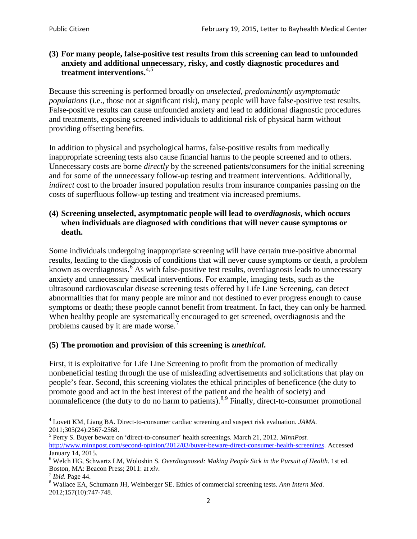### **(3) For many people, false-positive test results from this screening can lead to unfounded anxiety and additional unnecessary, risky, and costly diagnostic procedures and treatment interventions.**[4](#page-1-0),[5](#page-1-1)

Because this screening is performed broadly on *unselected, predominantly asymptomatic populations* (i.e., those not at significant risk), many people will have false**-**positive test results. False-positive results can cause unfounded anxiety and lead to additional diagnostic procedures and treatments, exposing screened individuals to additional risk of physical harm without providing offsetting benefits.

In addition to physical and psychological harms, false-positive results from medically inappropriate screening tests also cause financial harms to the people screened and to others. Unnecessary costs are borne *directly* by the screened patients/consumers for the initial screening and for some of the unnecessary follow-up testing and treatment interventions. Additionally, *indirect* cost to the broader insured population results from insurance companies passing on the costs of superfluous follow-up testing and treatment via increased premiums.

# **(4) Screening unselected, asymptomatic people will lead to** *overdiagnosis***, which occurs when individuals are diagnosed with conditions that will never cause symptoms or death.**

Some individuals undergoing inappropriate screening will have certain true-positive abnormal results, leading to the diagnosis of conditions that will never cause symptoms or death, a problem known as overdiagnosis.<sup>[6](#page-1-2)</sup> As with false-positive test results, overdiagnosis leads to unnecessary anxiety and unnecessary medical interventions. For example, imaging tests, such as the ultrasound cardiovascular disease screening tests offered by Life Line Screening, can detect abnormalities that for many people are minor and not destined to ever progress enough to cause symptoms or death; these people cannot benefit from treatment. In fact, they can only be harmed. When healthy people are systematically encouraged to get screened, overdiagnosis and the problems caused by it are made worse.<sup>[7](#page-1-3)</sup>

# **(5) The promotion and provision of this screening is** *unethical***.**

First, it is exploitative for Life Line Screening to profit from the promotion of medically nonbeneficial testing through the use of misleading advertisements and solicitations that play on people's fear. Second, this screening violates the ethical principles of beneficence (the duty to promote good and act in the best interest of the patient and the health of society) and nonmaleficence (the duty to do no harm to patients).<sup>[8](#page-1-4),[9](#page-1-5)</sup> Finally, direct-to-consumer promotional

<span id="page-1-4"></span>2012;157(10):747-748.

<span id="page-1-5"></span><span id="page-1-0"></span><sup>4</sup> Lovett KM, Liang BA. Direct-to-consumer cardiac screening and suspect risk evaluation. *JAMA*.

<span id="page-1-1"></span><sup>2011;305(24):2567-2568.</sup> <sup>5</sup> Perry S. Buyer beware on 'direct-to-consumer' health screenings. March 21, 2012. *MinnPost.*  [http://www.minnpost.com/second-opinion/2012/03/buyer-beware-direct-consumer-health-screenings.](http://www.minnpost.com/second-opinion/2012/03/buyer-beware-direct-consumer-health-screenings) Accessed January 14, 2015.

<span id="page-1-2"></span><sup>6</sup> Welch HG, Schwartz LM, Woloshin S. *Overdiagnosed: Making People Sick in the Pursuit of Health*. 1st ed. Boston, MA: Beacon Press; 2011: at *xiv*.<br><sup>7</sup> *Ibid*. Page 44.<br><sup>8</sup> Wallace EA, Schumann JH, Weinberger SE. Ethics of commercial screening tests. *Ann Intern Med*.

<span id="page-1-3"></span>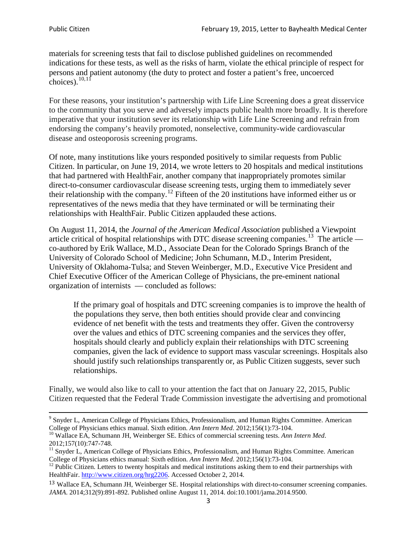materials for screening tests that fail to disclose published guidelines on recommended indications for these tests, as well as the risks of harm, violate the ethical principle of respect for persons and patient autonomy (the duty to protect and foster a patient's free, uncoerced choices). $\frac{10,11}{10,11}$  $\frac{10,11}{10,11}$  $\frac{10,11}{10,11}$  $\frac{10,11}{10,11}$ 

For these reasons, your institution's partnership with Life Line Screening does a great disservice to the community that you serve and adversely impacts public health more broadly. It is therefore imperative that your institution sever its relationship with Life Line Screening and refrain from endorsing the company's heavily promoted, nonselective, community**-**wide cardiovascular disease and osteoporosis screening programs.

Of note, many institutions like yours responded positively to similar requests from Public Citizen. In particular, on June 19, 2014, we wrote letters to 20 hospitals and medical institutions that had partnered with HealthFair, another company that inappropriately promotes similar direct-to-consumer cardiovascular disease screening tests, urging them to immediately sever their relationship with the company. [12](#page-2-2) Fifteen of the 20 institutions have informed either us or representatives of the news media that they have terminated or will be terminating their relationships with HealthFair. Public Citizen applauded these actions.

On August 11, 2014, the *Journal of the American Medical Association* published a Viewpoint article critical of hospital relationships with DTC disease screening companies.<sup>13</sup> The article co-authored by Erik Wallace, M.D., Associate Dean for the Colorado Springs Branch of the University of Colorado School of Medicine; John Schumann, M.D., Interim President, University of Oklahoma-Tulsa; and Steven Weinberger, M.D., Executive Vice President and Chief Executive Officer of the American College of Physicians, the pre**-**eminent national organization of internists — concluded as follows:

If the primary goal of hospitals and DTC screening companies is to improve the health of the populations they serve, then both entities should provide clear and convincing evidence of net benefit with the tests and treatments they offer. Given the controversy over the values and ethics of DTC screening companies and the services they offer, hospitals should clearly and publicly explain their relationships with DTC screening companies, given the lack of evidence to support mass vascular screenings. Hospitals also should justify such relationships transparently or, as Public Citizen suggests, sever such relationships.

Finally, we would also like to call to your attention the fact that on January 22, 2015, Public Citizen requested that the Federal Trade Commission investigate the advertising and promotional

<sup>&</sup>lt;sup>9</sup> Snyder L, American College of Physicians Ethics, Professionalism, and Human Rights Committee. American College of Physicians ethics manual. Sixth edition. Ann Intern Med. 2012;156(1):73-104.

<span id="page-2-0"></span><sup>&</sup>lt;sup>10</sup> Wallace EA, Schumann JH, Weinberger SE. Ethics of commercial screening tests. *Ann Intern Med*. 2012;157(10):747-748.

<span id="page-2-1"></span> $11$  Snyder L, American College of Physicians Ethics, Professionalism, and Human Rights Committee. American College of Physicians ethics manual: Sixth edition. *Ann Intern Med*. 2012;156(1):73-104.<br><sup>12</sup> Public Citizen. Letters to twenty hospitals and medical institutions asking them to end their partnerships with

<span id="page-2-2"></span>HealthFair. [http://www.citizen.org/hrg2206.](http://www.citizen.org/hrg2206) Accessed October 2, 2014.

<span id="page-2-3"></span><sup>13</sup> Wallace EA, Schumann JH, Weinberger SE. Hospital relationships with direct-to-consumer screening companies. *JAMA*. 2014;312(9):891-892. Published online August 11, 2014. doi:10.1001/jama.2014.9500.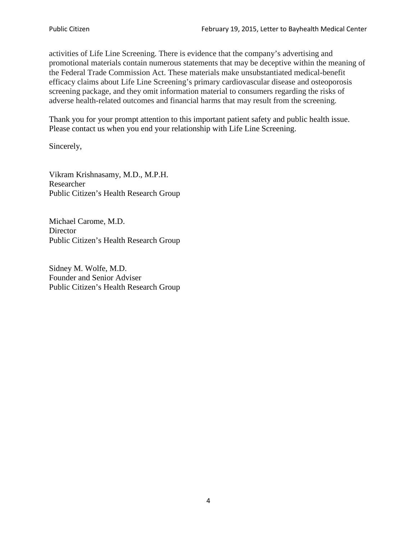activities of Life Line Screening. There is evidence that the company's advertising and promotional materials contain numerous statements that may be deceptive within the meaning of the Federal Trade Commission Act. These materials make unsubstantiated medical-benefit efficacy claims about Life Line Screening's primary cardiovascular disease and osteoporosis screening package, and they omit information material to consumers regarding the risks of adverse health-related outcomes and financial harms that may result from the screening.

Thank you for your prompt attention to this important patient safety and public health issue. Please contact us when you end your relationship with Life Line Screening.

Sincerely,

Vikram Krishnasamy, M.D., M.P.H. Researcher Public Citizen's Health Research Group

Michael Carome, M.D. **Director** Public Citizen's Health Research Group

Sidney M. Wolfe, M.D. Founder and Senior Adviser Public Citizen's Health Research Group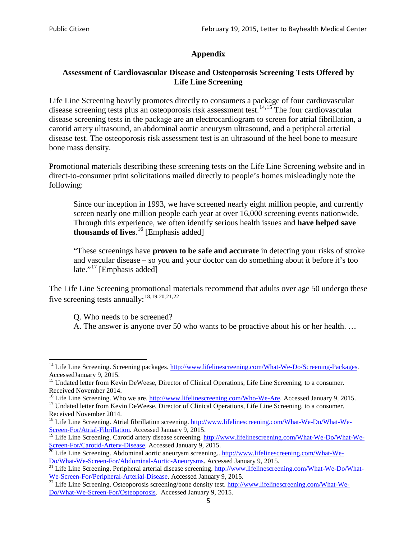# **Appendix**

# **Assessment of Cardiovascular Disease and Osteoporosis Screening Tests Offered by Life Line Screening**

Life Line Screening heavily promotes directly to consumers a package of four cardiovascular disease screening tests plus an osteoporosis risk assessment test.<sup>[14](#page-4-0),[15](#page-4-1)</sup> The four cardiovascular disease screening tests in the package are an electrocardiogram to screen for atrial fibrillation, a carotid artery ultrasound, an abdominal aortic aneurysm ultrasound, and a peripheral arterial disease test. The osteoporosis risk assessment test is an ultrasound of the heel bone to measure bone mass density.

Promotional materials describing these screening tests on the Life Line Screening website and in direct-to-consumer print solicitations mailed directly to people's homes misleadingly note the following:

Since our inception in 1993, we have screened nearly eight million people, and currently screen nearly one million people each year at over 16,000 screening events nationwide. Through this experience, we often identify serious health issues and **have helped save thousands of lives**. [16](#page-4-2) [Emphasis added]

"These screenings have **proven to be safe and accurate** in detecting your risks of stroke and vascular disease – so you and your doctor can do something about it before it's too late."<sup>[17](#page-4-3)</sup> [Emphasis added]

The Life Line Screening promotional materials recommend that adults over age 50 undergo these five screening tests annually:<sup>[18](#page-4-4),[19,](#page-4-5)[20,](#page-4-6)[21](#page-4-7),[22](#page-4-8)</sup>

Q. Who needs to be screened?

A. The answer is anyone over 50 who wants to be proactive about his or her health. …

<span id="page-4-0"></span><sup>&</sup>lt;sup>14</sup> Life Line Screening. Screening packages. [http://www.lifelinescreening.com/What-We-Do/Screening-Packages.](http://www.lifelinescreening.com/What-We-Do/Screening-Packages) AccessedJanuary 9, 2015.

<span id="page-4-1"></span><sup>&</sup>lt;sup>15</sup> Undated letter from Kevin DeWeese, Director of Clinical Operations, Life Line Screening, to a consumer.

Received November 2014.<br><sup>16</sup> Life Line Screening. Who we are. http://www.lifelinescreening.com/Who-We-Are. Accessed January 9, 2015.

<span id="page-4-3"></span><span id="page-4-2"></span><sup>&</sup>lt;sup>17</sup> Undated letter from Kevin DeWeese, Director of Clinical Operations, Life Line Screening, to a consumer. Received November 2014.

<span id="page-4-4"></span><sup>&</sup>lt;sup>18</sup> Life Line Screening. Atrial fibrillation screening. [http://www.lifelinescreening.com/What-We-Do/What-We-](http://www.lifelinescreening.com/What-We-Do/What-We-Screen-For/Atrial-Fibrillation)[Screen-For/Atrial-Fibrillation.](http://www.lifelinescreening.com/What-We-Do/What-We-Screen-For/Atrial-Fibrillation) Accessed January 9, 2015.

<sup>&</sup>lt;sup>19</sup> Life Line Screening. Carotid artery disease screening. [http://www.lifelinescreening.com/What-We-Do/What-We-](http://www.lifelinescreening.com/What-We-Do/What-We-Screen-For/Carotid-Artery-Disease)

<span id="page-4-6"></span><span id="page-4-5"></span>[Screen-For/Carotid-Artery-Disease.](http://www.lifelinescreening.com/What-We-Do/What-We-Screen-For/Carotid-Artery-Disease) Accessed January 9, 2015.<br><sup>20</sup> Life Line Screening. Abdominal aortic aneurysm screening.. http://www.lifelinescreening.com/What-We-Do/What-We-Do/What-We-Screen-For/Abdominal-Aortic-Aneury

<span id="page-4-7"></span><sup>&</sup>lt;sup>21</sup> Life Line Screening. Peripheral arterial disease screening. [http://www.lifelinescreening.com/What-We-Do/What-](http://www.lifelinescreening.com/What-We-Do/What-We-Screen-For/Peripheral-Arterial-Disease)

<span id="page-4-8"></span>[We-Screen-For/Peripheral-Arterial-Disease.](http://www.lifelinescreening.com/What-We-Do/What-We-Screen-For/Peripheral-Arterial-Disease) Accessed January 9, 2015.<br><sup>22</sup> Life Line Screening. Osteoporosis screening/bone density test. [http://www.lifelinescreening.com/What-We-](http://www.lifelinescreening.com/What-We-Do/What-We-Screen-For/Osteoporosis)[Do/What-We-Screen-For/Osteoporosis.](http://www.lifelinescreening.com/What-We-Do/What-We-Screen-For/Osteoporosis) Accessed January 9, 2015.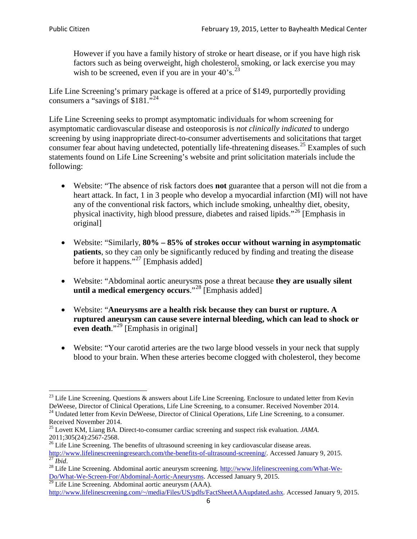However if you have a family history of stroke or heart disease, or if you have high risk factors such as being overweight, high cholesterol, smoking, or lack exercise you may wish to be screened, even if you are in your  $40^\circ$ s.<sup>[23](#page-5-0)</sup>

Life Line Screening's primary package is offered at a price of \$149, purportedly providing consumers a "savings of \$181."[24](#page-5-1)

Life Line Screening seeks to prompt asymptomatic individuals for whom screening for asymptomatic cardiovascular disease and osteoporosis is *not clinically indicated* to undergo screening by using inappropriate direct-to-consumer advertisements and solicitations that target consumer fear about having undetected, potentially life-threatening diseases.<sup>[25](#page-5-2)</sup> Examples of such statements found on Life Line Screening's website and print solicitation materials include the following:

- Website: "The absence of risk factors does **not** guarantee that a person will not die from a heart attack. In fact, 1 in 3 people who develop a myocardial infarction (MI) will not have any of the conventional risk factors, which include smoking, unhealthy diet, obesity, physical inactivity, high blood pressure, diabetes and raised lipids."[26](#page-5-3) [Emphasis in original]
- Website: "Similarly, **80% – 85% of strokes occur without warning in asymptomatic patients**, so they can only be significantly reduced by finding and treating the disease before it happens."<sup>[27](#page-5-4)</sup> [Emphasis added]
- Website: "Abdominal aortic aneurysms pose a threat because **they are usually silent until a medical emergency occurs**."[28](#page-5-5) [Emphasis added]
- Website: "**Aneurysms are a health risk because they can burst or rupture. A ruptured aneurysm can cause severe internal bleeding, which can lead to shock or even death.**"<sup>[29](#page-5-6)</sup> [Emphasis in original]
- Website: "Your carotid arteries are the two large blood vessels in your neck that supply blood to your brain. When these arteries become clogged with cholesterol, they become

<span id="page-5-0"></span><sup>&</sup>lt;sup>23</sup> Life Line Screening. Questions  $\&$  answers about Life Line Screening. Enclosure to undated letter from Kevin DeWeese, Director of Clinical Operations, Life Line Screening, to a consumer. Received November 2014.

<span id="page-5-1"></span><sup>&</sup>lt;sup>24</sup> Undated letter from Kevin DeWeese, Director of Clinical Operations, Life Line Screening, to a consumer. Received November 2014.

<span id="page-5-2"></span><sup>25</sup> Lovett KM, Liang BA. Direct-to-consumer cardiac screening and suspect risk evaluation. *JAMA*.  $2011;305(24):2567-2568$ .<br><sup>26</sup> Life Line Screening. The benefits of ultrasound screening in key cardiovascular disease areas.

<span id="page-5-3"></span>[http://www.lifelinescreeningresearch.com/the-benefits-of-ultrasound-screening/.](http://www.lifelinescreeningresearch.com/the-benefits-of-ultrasound-screening/) Accessed January 9, 2015.<br><sup>28</sup> Life Line Screening. Abdominal aortic aneurysm screening. http://www.lifelinescreening.com/What-We-<sup>28</sup>

<span id="page-5-5"></span><span id="page-5-4"></span>[Do/What-We-Screen-For/Abdominal-Aortic-Aneurysms.](http://www.lifelinescreening.com/What-We-Do/What-We-Screen-For/Abdominal-Aortic-Aneurysms) Accessed January 9, 2015. <sup>29</sup> Life Line Screening. Abdominal aortic aneurysm (AAA).

<span id="page-5-6"></span>[http://www.lifelinescreening.com/~/media/Files/US/pdfs/FactSheetAAAupdated.ashx.](http://www.lifelinescreening.com/~/media/Files/US/pdfs/FactSheetAAAupdated.ashx) Accessed January 9, 2015.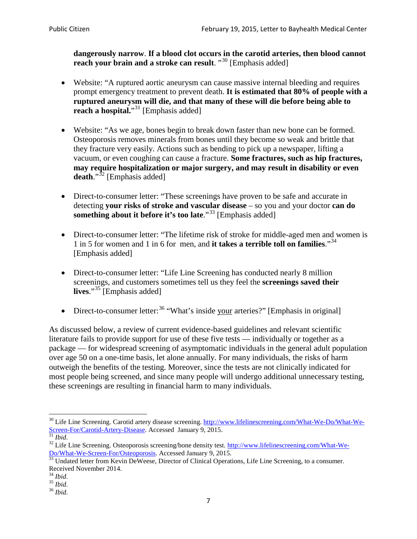**dangerously narrow**. **If a blood clot occurs in the carotid arteries, then blood cannot reach your brain and a stroke can result**. "<sup>[30](#page-6-0)</sup> [Emphasis added]

- Website: "A ruptured aortic aneurysm can cause massive internal bleeding and requires prompt emergency treatment to prevent death. **It is estimated that 80% of people with a ruptured aneurysm will die, and that many of these will die before being able to reach a hospital.**"<sup>[31](#page-6-1)</sup> [Emphasis added]
- Website: "As we age, bones begin to break down faster than new bone can be formed. Osteoporosis removes minerals from bones until they become so weak and brittle that they fracture very easily. Actions such as bending to pick up a newspaper, lifting a vacuum, or even coughing can cause a fracture. **Some fractures, such as hip fractures, may require hospitalization or major surgery, and may result in disability or even**  death."<sup>[32](#page-6-2)</sup> [Emphasis added]
- Direct-to-consumer letter: "These screenings have proven to be safe and accurate in detecting **your risks of stroke and vascular disease** – so you and your doctor **can do something about it before it's too late**."<sup>[33](#page-6-3)</sup> [Emphasis added]
- Direct-to-consumer letter: "The lifetime risk of stroke for middle-aged men and women is 1 in 5 for women and 1 in 6 for men, and **it takes a terrible toll on families**."[34](#page-6-4) [Emphasis added]
- Direct-to-consumer letter: "Life Line Screening has conducted nearly 8 million screenings, and customers sometimes tell us they feel the **screenings saved their lives**."[35](#page-6-5) [Emphasis added]
- Direct-to-consumer letter:  $36$  "What's inside your arteries?" [Emphasis in original]

As discussed below, a review of current evidence-based guidelines and relevant scientific literature fails to provide support for use of these five tests — individually or together as a package — for widespread screening of asymptomatic individuals in the general adult population over age 50 on a one-time basis, let alone annually. For many individuals, the risks of harm outweigh the benefits of the testing. Moreover, since the tests are not clinically indicated for most people being screened, and since many people will undergo additional unnecessary testing, these screenings are resulting in financial harm to many individuals.

<span id="page-6-0"></span><sup>&</sup>lt;sup>30</sup> Life Line Screening. Carotid artery disease screening. [http://www.lifelinescreening.com/What-We-Do/What-We-](http://www.lifelinescreening.com/What-We-Do/What-We-Screen-For/Carotid-Artery-Disease)[Screen-For/Carotid-Artery-Disease.](http://www.lifelinescreening.com/What-We-Do/What-We-Screen-For/Carotid-Artery-Disease) Accessed January 9, 2015.<br><sup>31</sup> *Ibid.* 32 Life Line Screening. Osteoporosis screening/bone density test. [http://www.lifelinescreening.com/What-We-](http://www.lifelinescreening.com/What-We-Do/What-We-Screen-For/Osteoporosis)

<span id="page-6-2"></span><span id="page-6-1"></span>[Do/What-We-Screen-For/Osteoporosis.](http://www.lifelinescreening.com/What-We-Do/What-We-Screen-For/Osteoporosis) Accessed January 9, 2015. <sup>33</sup> Undated letter from Kevin DeWeese, Director of Clinical Operations, Life Line Screening, to a consumer.

<span id="page-6-3"></span>Received November 2014.<br><sup>34</sup> Ibid.

<span id="page-6-4"></span>

<span id="page-6-5"></span><sup>34</sup> *Ibid*. 35 *Ibid*. 36 *Ibid*.

<span id="page-6-6"></span>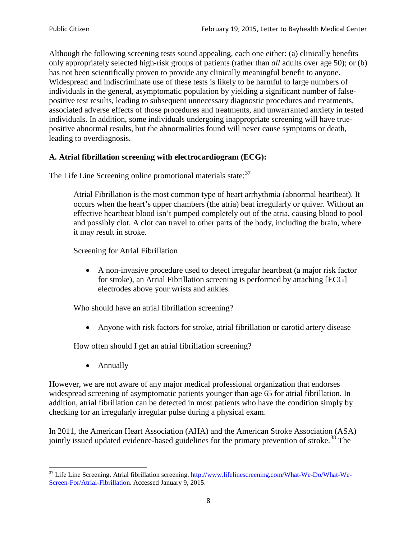Although the following screening tests sound appealing, each one either: (a) clinically benefits only appropriately selected high-risk groups of patients (rather than *all* adults over age 50); or (b) has not been scientifically proven to provide any clinically meaningful benefit to anyone. Widespread and indiscriminate use of these tests is likely to be harmful to large numbers of individuals in the general, asymptomatic population by yielding a significant number of falsepositive test results, leading to subsequent unnecessary diagnostic procedures and treatments, associated adverse effects of those procedures and treatments, and unwarranted anxiety in tested individuals. In addition, some individuals undergoing inappropriate screening will have truepositive abnormal results, but the abnormalities found will never cause symptoms or death, leading to overdiagnosis.

# **A. Atrial fibrillation screening with electrocardiogram (ECG):**

The Life Line Screening online promotional materials state:<sup>[37](#page-7-0)</sup>

Atrial Fibrillation is the most common type of heart arrhythmia (abnormal heartbeat). It occurs when the heart's upper chambers (the atria) beat irregularly or quiver. Without an effective heartbeat blood isn't pumped completely out of the atria, causing blood to pool and possibly clot. A clot can travel to other parts of the body, including the brain, where it may result in stroke.

Screening for Atrial Fibrillation

• A non-invasive procedure used to detect irregular heartbeat (a major risk factor for stroke), an Atrial Fibrillation screening is performed by attaching [ECG] electrodes above your wrists and ankles.

Who should have an atrial fibrillation screening?

• Anyone with risk factors for stroke, atrial fibrillation or carotid artery disease

How often should I get an atrial fibrillation screening?

• Annually

<span id="page-7-1"></span>However, we are not aware of any major medical professional organization that endorses widespread screening of asymptomatic patients younger than age 65 for atrial fibrillation. In addition, atrial fibrillation can be detected in most patients who have the condition simply by checking for an irregularly irregular pulse during a physical exam.

In 2011, the American Heart Association (AHA) and the American Stroke Association (ASA) jointly issued updated evidence-based guidelines for the primary prevention of stroke.<sup>[38](#page-7-1)</sup> The

<span id="page-7-0"></span><sup>&</sup>lt;sup>37</sup> Life Line Screening. Atrial fibrillation screening. [http://www.lifelinescreening.com/What-We-Do/What-We-](http://www.lifelinescreening.com/What-We-Do/What-We-Screen-For/Atrial-Fibrillation)[Screen-For/Atrial-Fibrillation.](http://www.lifelinescreening.com/What-We-Do/What-We-Screen-For/Atrial-Fibrillation) Accessed January 9, 2015.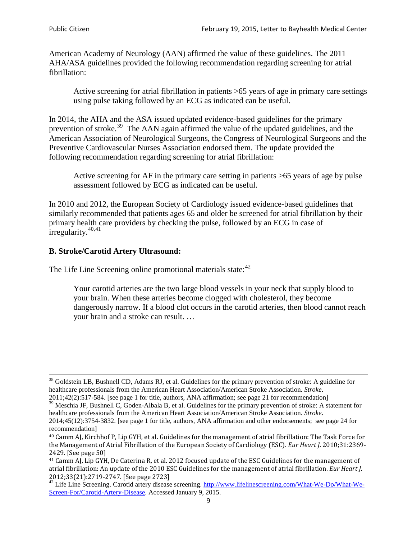American Academy of Neurology (AAN) affirmed the value of these guidelines. The 2011 AHA/ASA guidelines provided the following recommendation regarding screening for atrial fibrillation:

Active screening for atrial fibrillation in patients >65 years of age in primary care settings using pulse taking followed by an ECG as indicated can be useful.

In 2014, the AHA and the ASA issued updated evidence-based guidelines for the primary prevention of stroke.<sup>[39](#page-8-0)</sup> The AAN again affirmed the value of the updated guidelines, and the American Association of Neurological Surgeons, the Congress of Neurological Surgeons and the Preventive Cardiovascular Nurses Association endorsed them. The update provided the following recommendation regarding screening for atrial fibrillation:

Active screening for AF in the primary care setting in patients >65 years of age by pulse assessment followed by ECG as indicated can be useful.

In 2010 and 2012, the European Society of Cardiology issued evidence-based guidelines that similarly recommended that patients ages 65 and older be screened for atrial fibrillation by their primary health care providers by checking the pulse, followed by an ECG in case of irregularity. $40,41$  $40,41$ 

# **B. Stroke/Carotid Artery Ultrasound:**

The Life Line Screening online promotional materials state:<sup>[42](#page-8-3)</sup>

Your carotid arteries are the two large blood vessels in your neck that supply blood to your brain. When these arteries become clogged with cholesterol, they become dangerously narrow. If a blood clot occurs in the carotid arteries, then blood cannot reach your brain and a stroke can result. …

<sup>&</sup>lt;sup>38</sup> Goldstein LB, Bushnell CD, Adams RJ, et al. Guidelines for the primary prevention of stroke: A guideline for healthcare professionals from the American Heart Association/American Stroke Association. *Stroke*.

<sup>2011;42(2):517-584.</sup> [see page 1 for title, authors, ANA affirmation; see page 21 for recommendation]

<span id="page-8-0"></span> $\frac{2011,42(2)(317,601)}{39}$  Meschia JF, Bushnell C, Goden-Albala B, et al. Guidelines for the primary prevention of stroke: A statement for healthcare professionals from the American Heart Association/American Stroke Association. *Stroke*.

<sup>2014;45(12):3754-3832.</sup> [see page 1 for title, authors, ANA affirmation and other endorsements; see page 24 for recommendation]

<span id="page-8-1"></span><sup>40</sup> Camm AJ, Kirchhof P, Lip GYH, et al. Guidelines for the management of atrial fibrillation: The Task Force for the Management of Atrial Fibrillation of the European Society of Cardiology (ESC). *Eur Heart J*. 2010;31:2369- 2429. [See page 50]

<span id="page-8-2"></span><sup>41</sup> Camm AJ, Lip GYH, De Caterina R, et al. 2012 focused update of the ESC Guidelines for the management of atrial fibrillation: An update of the 2010 ESC Guidelines for the management of atrial fibrillation. *Eur Heart J*.

<span id="page-8-3"></span><sup>&</sup>lt;sup>2012</sup>;23(21):2719-2747. [See page 2733] 42 Life Line Screening. [http://www.lifelinescreening.com/What-We-Do/What-We-](http://www.lifelinescreening.com/What-We-Do/What-We-Screen-For/Carotid-Artery-Disease)[Screen-For/Carotid-Artery-Disease.](http://www.lifelinescreening.com/What-We-Do/What-We-Screen-For/Carotid-Artery-Disease) Accessed January 9, 2015.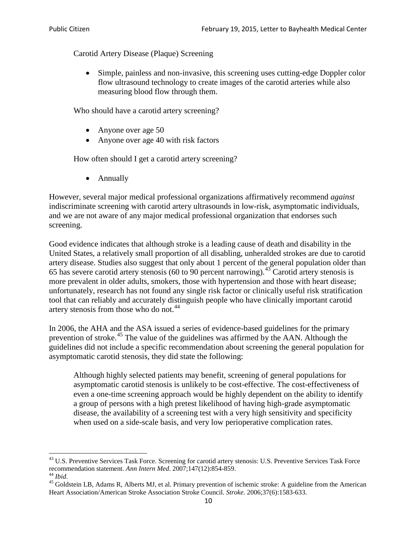Carotid Artery Disease (Plaque) Screening

• Simple, painless and non-invasive, this screening uses cutting-edge Doppler color flow ultrasound technology to create images of the carotid arteries while also measuring blood flow through them.

Who should have a carotid artery screening?

- Anyone over age 50
- Anyone over age 40 with risk factors

How often should I get a carotid artery screening?

• Annually

However, several major medical professional organizations affirmatively recommend *against* indiscriminate screening with carotid artery ultrasounds in low-risk, asymptomatic individuals, and we are not aware of any major medical professional organization that endorses such screening.

Good evidence indicates that although stroke is a leading cause of death and disability in the United States, a relatively small proportion of all disabling, unheralded strokes are due to carotid artery disease. Studies also suggest that only about 1 percent of the general population older than 65 has severe carotid artery stenosis (60 to 90 percent narrowing).<sup>[43](#page-9-0)</sup> Carotid artery stenosis is more prevalent in older adults, smokers, those with hypertension and those with heart disease; unfortunately, research has not found any single risk factor or clinically useful risk stratification tool that can reliably and accurately distinguish people who have clinically important carotid artery stenosis from those who do not.<sup>[44](#page-9-1)</sup>

In 2006, the AHA and the ASA issued a series of evidence-based guidelines for the primary prevention of stroke.[45](#page-9-2) The value of the guidelines was affirmed by the AAN. Although the guidelines did not include a specific recommendation about screening the general population for asymptomatic carotid stenosis, they did state the following:

Although highly selected patients may benefit, screening of general populations for asymptomatic carotid stenosis is unlikely to be cost-effective. The cost-effectiveness of even a one-time screening approach would be highly dependent on the ability to identify a group of persons with a high pretest likelihood of having high-grade asymptomatic disease, the availability of a screening test with a very high sensitivity and specificity when used on a side-scale basis, and very low perioperative complication rates.

<span id="page-9-0"></span> $^{43}$  U.S. Preventive Services Task Force. Screening for carotid artery stenosis: U.S. Preventive Services Task Force recommendation statement. Ann Intern Med. 2007;147(12):854-859.

<span id="page-9-2"></span><span id="page-9-1"></span><sup>&</sup>lt;sup>44</sup> *Ibid*. <sup>45</sup> Goldstein LB, Adams R, Alberts MJ, et al. Primary prevention of ischemic stroke: A guideline from the American <sup>45</sup> Goldstein LB, Adams R, Alberts MJ, et al. Primary prevention of ischemic stroke: A guide Heart Association/American Stroke Association Stroke Council. *Stroke*. 2006;37(6):1583-633.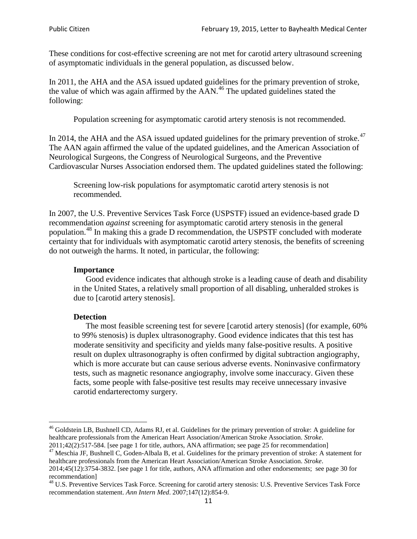These conditions for cost-effective screening are not met for carotid artery ultrasound screening of asymptomatic individuals in the general population, as discussed below.

In 2011, the AHA and the ASA issued updated guidelines for the primary prevention of stroke, the value of which was again affirmed by the  $AAN<sup>46</sup>$  $AAN<sup>46</sup>$  $AAN<sup>46</sup>$ . The updated guidelines stated the following:

Population screening for asymptomatic carotid artery stenosis is not recommended.

In 2014, the AHA and the ASA issued updated guidelines for the primary prevention of stroke.<sup>47</sup> The AAN again affirmed the value of the updated guidelines, and the American Association of Neurological Surgeons, the Congress of Neurological Surgeons, and the Preventive Cardiovascular Nurses Association endorsed them. The updated guidelines stated the following:

Screening low-risk populations for asymptomatic carotid artery stenosis is not recommended.

In 2007, the U.S. Preventive Services Task Force (USPSTF) issued an evidence-based grade D recommendation *against* screening for asymptomatic carotid artery stenosis in the general population.[48](#page-10-2) In making this a grade D recommendation, the USPSTF concluded with moderate certainty that for individuals with asymptomatic carotid artery stenosis, the benefits of screening do not outweigh the harms. It noted, in particular, the following:

#### **Importance**

Good evidence indicates that although stroke is a leading cause of death and disability in the United States, a relatively small proportion of all disabling, unheralded strokes is due to [carotid artery stenosis].

#### **Detection**

The most feasible screening test for severe [carotid artery stenosis] (for example, 60% to 99% stenosis) is duplex ultrasonography. Good evidence indicates that this test has moderate sensitivity and specificity and yields many false-positive results. A positive result on duplex ultrasonography is often confirmed by digital subtraction angiography, which is more accurate but can cause serious adverse events. Noninvasive confirmatory tests, such as magnetic resonance angiography, involve some inaccuracy. Given these facts, some people with false-positive test results may receive unnecessary invasive carotid endarterectomy surgery.

<span id="page-10-0"></span><sup>&</sup>lt;sup>46</sup> Goldstein LB, Bushnell CD, Adams RJ, et al. Guidelines for the primary prevention of stroke: A guideline for healthcare professionals from the American Heart Association/American Stroke Association. *Stroke*.<br>2011;42(2):517-584. [see page 1 for title, authors, ANA affirmation; see page 25 for recommendation]

<span id="page-10-1"></span><sup>&</sup>lt;sup>47</sup> Meschia JF, Bushnell C, Goden-Albala B, et al. Guidelines for the primary prevention of stroke: A statement for healthcare professionals from the American Heart Association/American Stroke Association. *Stroke*. 2014;45(12):3754-3832. [see page 1 for title, authors, ANA affirmation and other endorsements; see page 30 for

recommendation]<br><sup>48</sup> U.S. Preventive Services Task Force. Screening for carotid artery stenosis: U.S. Preventive Services Task Force

<span id="page-10-2"></span>recommendation statement. *Ann Intern Med*. 2007;147(12):854-9.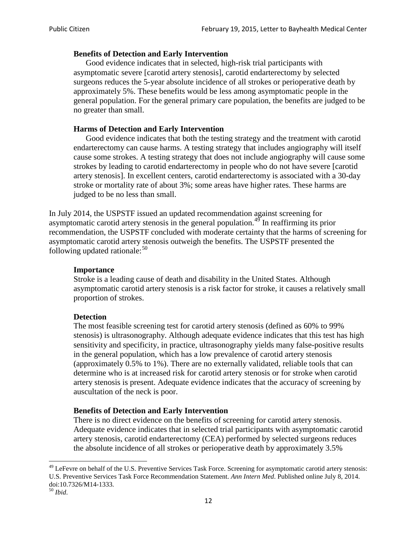#### **Benefits of Detection and Early Intervention**

Good evidence indicates that in selected, high-risk trial participants with asymptomatic severe [carotid artery stenosis], carotid endarterectomy by selected surgeons reduces the 5-year absolute incidence of all strokes or perioperative death by approximately 5%. These benefits would be less among asymptomatic people in the general population. For the general primary care population, the benefits are judged to be no greater than small.

#### **Harms of Detection and Early Intervention**

Good evidence indicates that both the testing strategy and the treatment with carotid endarterectomy can cause harms. A testing strategy that includes angiography will itself cause some strokes. A testing strategy that does not include angiography will cause some strokes by leading to carotid endarterectomy in people who do not have severe [carotid artery stenosis]. In excellent centers, carotid endarterectomy is associated with a 30-day stroke or mortality rate of about 3%; some areas have higher rates. These harms are judged to be no less than small.

In July 2014, the USPSTF issued an updated recommendation against screening for asymptomatic carotid artery stenosis in the general population.<sup>[49](#page-11-0)</sup> In reaffirming its prior recommendation, the USPSTF concluded with moderate certainty that the harms of screening for asymptomatic carotid artery stenosis outweigh the benefits. The USPSTF presented the following updated rationale: $50$ 

#### **Importance**

Stroke is a leading cause of death and disability in the United States. Although asymptomatic carotid artery stenosis is a risk factor for stroke, it causes a relatively small proportion of strokes.

#### **Detection**

The most feasible screening test for carotid artery stenosis (defined as 60% to 99% stenosis) is ultrasonography. Although adequate evidence indicates that this test has high sensitivity and specificity, in practice, ultrasonography yields many false-positive results in the general population, which has a low prevalence of carotid artery stenosis (approximately 0.5% to 1%). There are no externally validated, reliable tools that can determine who is at increased risk for carotid artery stenosis or for stroke when carotid artery stenosis is present. Adequate evidence indicates that the accuracy of screening by auscultation of the neck is poor.

#### **Benefits of Detection and Early Intervention**

There is no direct evidence on the benefits of screening for carotid artery stenosis. Adequate evidence indicates that in selected trial participants with asymptomatic carotid artery stenosis, carotid endarterectomy (CEA) performed by selected surgeons reduces the absolute incidence of all strokes or perioperative death by approximately 3.5%

<span id="page-11-0"></span><sup>&</sup>lt;sup>49</sup> LeFevre on behalf of the U.S. Preventive Services Task Force. Screening for asymptomatic carotid artery stenosis: U.S. Preventive Services Task Force Recommendation Statement. *Ann Intern Med*. Published online July 8, 2014. doi:10.7326/M14-1333. <sup>50</sup> *Ibid*.

<span id="page-11-1"></span>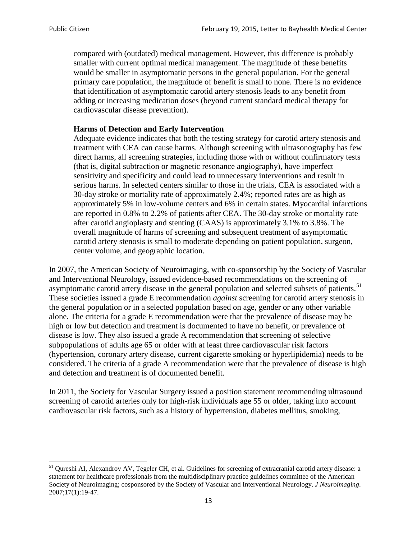compared with (outdated) medical management. However, this difference is probably smaller with current optimal medical management. The magnitude of these benefits would be smaller in asymptomatic persons in the general population. For the general primary care population, the magnitude of benefit is small to none. There is no evidence that identification of asymptomatic carotid artery stenosis leads to any benefit from adding or increasing medication doses (beyond current standard medical therapy for cardiovascular disease prevention).

#### **Harms of Detection and Early Intervention**

Adequate evidence indicates that both the testing strategy for carotid artery stenosis and treatment with CEA can cause harms. Although screening with ultrasonography has few direct harms, all screening strategies, including those with or without confirmatory tests (that is, digital subtraction or magnetic resonance angiography), have imperfect sensitivity and specificity and could lead to unnecessary interventions and result in serious harms. In selected centers similar to those in the trials, CEA is associated with a 30-day stroke or mortality rate of approximately 2.4%; reported rates are as high as approximately 5% in low-volume centers and 6% in certain states. Myocardial infarctions are reported in 0.8% to 2.2% of patients after CEA. The 30-day stroke or mortality rate after carotid angioplasty and stenting (CAAS) is approximately 3.1% to 3.8%. The overall magnitude of harms of screening and subsequent treatment of asymptomatic carotid artery stenosis is small to moderate depending on patient population, surgeon, center volume, and geographic location.

In 2007, the American Society of Neuroimaging, with co-sponsorship by the Society of Vascular and Interventional Neurology, issued evidence-based recommendations on the screening of asymptomatic carotid artery disease in the general population and selected subsets of patients.<sup>[51](#page-12-0)</sup> These societies issued a grade E recommendation *against* screening for carotid artery stenosis in the general population or in a selected population based on age, gender or any other variable alone. The criteria for a grade E recommendation were that the prevalence of disease may be high or low but detection and treatment is documented to have no benefit, or prevalence of disease is low. They also issued a grade A recommendation that screening of selective subpopulations of adults age 65 or older with at least three cardiovascular risk factors (hypertension, coronary artery disease, current cigarette smoking or hyperlipidemia) needs to be considered. The criteria of a grade A recommendation were that the prevalence of disease is high and detection and treatment is of documented benefit.

In 2011, the Society for Vascular Surgery issued a position statement recommending ultrasound screening of carotid arteries only for high-risk individuals age 55 or older, taking into account cardiovascular risk factors, such as a history of hypertension, diabetes mellitus, smoking,

<span id="page-12-0"></span><sup>&</sup>lt;sup>51</sup> Qureshi AI, Alexandrov AV, Tegeler CH, et al. Guidelines for screening of extracranial carotid artery disease: a statement for healthcare professionals from the multidisciplinary practice guidelines committee of the American Society of Neuroimaging; cosponsored by the Society of Vascular and Interventional Neurology. *J Neuroimaging*. 2007;17(1):19-47.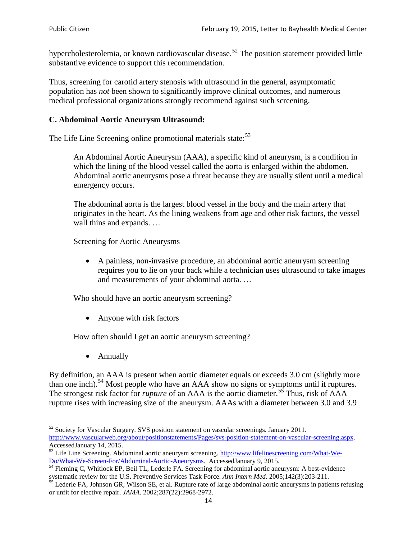hypercholesterolemia, or known cardiovascular disease.<sup>[52](#page-13-0)</sup> The position statement provided little substantive evidence to support this recommendation.

Thus, screening for carotid artery stenosis with ultrasound in the general, asymptomatic population has *not* been shown to significantly improve clinical outcomes, and numerous medical professional organizations strongly recommend against such screening.

### **C. Abdominal Aortic Aneurysm Ultrasound:**

The Life Line Screening online promotional materials state:<sup>[53](#page-13-1)</sup>

An Abdominal Aortic Aneurysm (AAA), a specific kind of aneurysm, is a condition in which the lining of the blood vessel called the aorta is enlarged within the abdomen. Abdominal aortic aneurysms pose a threat because they are usually silent until a medical emergency occurs.

The abdominal aorta is the largest blood vessel in the body and the main artery that originates in the heart. As the lining weakens from age and other risk factors, the vessel wall thins and expands. …

Screening for Aortic Aneurysms

• A painless, non-invasive procedure, an abdominal aortic aneurysm screening requires you to lie on your back while a technician uses ultrasound to take images and measurements of your abdominal aorta. …

Who should have an aortic aneurysm screening?

• Anyone with risk factors

How often should I get an aortic aneurysm screening?

• Annually

By definition, an AAA is present when aortic diameter equals or exceeds 3.0 cm (slightly more than one inch).<sup>[54](#page-13-2)</sup> Most people who have an AAA show no signs or symptoms until it ruptures. The strongest risk factor for *rupture* of an AAA is the aortic diameter.<sup>[55](#page-13-3)</sup> Thus, risk of AAA rupture rises with increasing size of the aneurysm. AAAs with a diameter between 3.0 and 3.9

<span id="page-13-0"></span><sup>&</sup>lt;sup>52</sup> Society for Vascular Surgery. SVS position statement on vascular screenings. January 2011. http://www.vascularweb.org/about/positionstatements/Pages/svs-position-statement-on-vascular-screening.aspx.<br>Accessed January 14, 2015.

<span id="page-13-1"></span>Accessed January 14, 2015.<br>
Sa Life Line Screening. Abdominal aortic aneurysm screening. http://www.lifelinescreening.com/What-We-<br>
Do/What-We-Screen-For/Abdominal-Aortic-Aneurysms. Accessed January 9, 2015.

<span id="page-13-2"></span> $\frac{1}{54}$  Fleming C, Whitlock EP, Beil TL, Lederle FA. Screening for abdominal aortic aneurysm: A best-evidence systematic review for the U.S. Preventive Services Task Force. *Ann Intern Med.* 2005;142(3):203-211.<br><sup>55</sup> Lederle FA, Johnson GR, Wilson SE, et al. Rupture rate of large abdominal aortic aneurysms in patients refusing

<span id="page-13-3"></span>or unfit for elective repair. *JAMA*. 2002;287(22):2968-2972.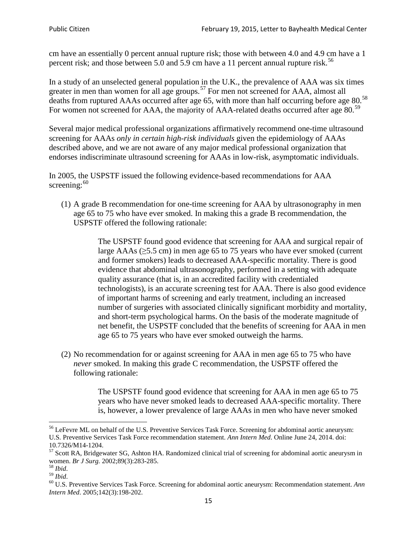cm have an essentially 0 percent annual rupture risk; those with between 4.0 and 4.9 cm have a 1 percent risk; and those between 5.0 and 5.9 cm have a 11 percent annual rupture risk.<sup>[56](#page-14-0)</sup>

In a study of an unselected general population in the U.K., the prevalence of AAA was six times greater in men than women for all age groups.<sup>[57](#page-14-1)</sup> For men not screened for  $AAA$ , almost all deaths from ruptured AAAs occurred after age 65, with more than half occurring before age 80.<sup>[58](#page-14-2)</sup> For women not screened for AAA, the majority of AAA-related deaths occurred after age 80.<sup>[59](#page-14-3)</sup>

Several major medical professional organizations affirmatively recommend one-time ultrasound screening for AAAs *only in certain high-risk individuals* given the epidemiology of AAAs described above, and we are not aware of any major medical professional organization that endorses indiscriminate ultrasound screening for AAAs in low-risk, asymptomatic individuals.

In 2005, the USPSTF issued the following evidence-based recommendations for AAA screening: $60$ 

(1) A grade B recommendation for one-time screening for AAA by ultrasonography in men age 65 to 75 who have ever smoked. In making this a grade [B recommendation,](http://www.uspreventiveservicestaskforce.org/uspstf/gradespre.htm#brec) the USPSTF offered the following rationale:

> The USPSTF found good evidence that screening for AAA and surgical repair of large AAAs ( $\geq$ 5.5 cm) in men age 65 to 75 years who have ever smoked (current and former smokers) leads to decreased AAA-specific mortality. There is good evidence that abdominal ultrasonography, performed in a setting with adequate quality assurance (that is, in an accredited facility with credentialed technologists), is an accurate screening test for AAA. There is also good evidence of important harms of screening and early treatment, including an increased number of surgeries with associated clinically significant morbidity and mortality, and short-term psychological harms. On the basis of the moderate magnitude of net benefit, the USPSTF concluded that the benefits of screening for AAA in men age 65 to 75 years who have ever smoked outweigh the harms.

(2) No recommendation for or against screening for AAA in men age 65 to 75 who have *never* smoked. In making this grade C recommendation, the USPSTF offered the following rationale:

> The USPSTF found good evidence that screening for AAA in men age 65 to 75 years who have never smoked leads to decreased AAA-specific mortality. There is, however, a lower prevalence of large AAAs in men who have never smoked

<span id="page-14-0"></span><sup>&</sup>lt;sup>56</sup> LeFevre ML on behalf of the U.S. Preventive Services Task Force. Screening for abdominal aortic aneurysm: U.S. Preventive Services Task Force recommendation statement. *Ann Intern Med*. Online June 24, 2014. doi:

<span id="page-14-1"></span><sup>10.7326/</sup>M14-1204.<br> $57$  Scott RA, Bridgewater SG, Ashton HA. Randomized clinical trial of screening for abdominal aortic aneurysm in women. *Br J Surg.* 2002;89(3):283-285.

<span id="page-14-4"></span><span id="page-14-3"></span>

<span id="page-14-2"></span><sup>&</sup>lt;sup>58</sup> *Ibid.*<br><sup>59</sup> *Ibid.* 2002;<br><sup>60</sup> U.S. Preventive Services Task Force. Screening for abdominal aortic aneurysm: Recommendation statement. *Ann Intern Med*. 2005;142(3):198-202.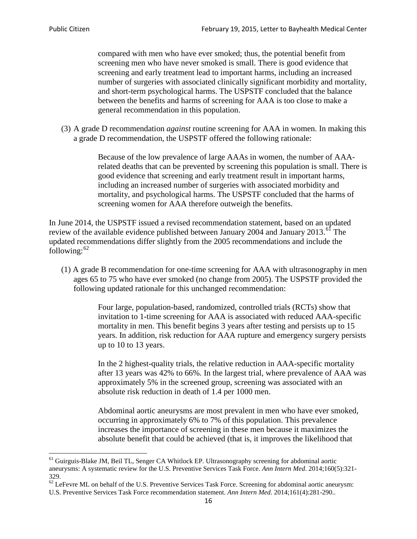compared with men who have ever smoked; thus, the potential benefit from screening men who have never smoked is small. There is good evidence that screening and early treatment lead to important harms, including an increased number of surgeries with associated clinically significant morbidity and mortality, and short-term psychological harms. The USPSTF concluded that the balance between the benefits and harms of screening for AAA is too close to make a general recommendation in this population.

(3) A grade D recommendation *against* routine screening for AAA in women. In making this a grade D recommendation, the USPSTF offered the following rationale:

> Because of the low prevalence of large AAAs in women, the number of AAArelated deaths that can be prevented by screening this population is small. There is good evidence that screening and early treatment result in important harms, including an increased number of surgeries with associated morbidity and mortality, and psychological harms. The USPSTF concluded that the harms of screening women for AAA therefore outweigh the benefits.

In June 2014, the USPSTF issued a revised recommendation statement, based on an updated review of the available evidence published between January 2004 and January 2013.<sup>[61](#page-15-0)</sup> The updated recommendations differ slightly from the 2005 recommendations and include the following: $62$ 

(1) A grade B recommendation for one-time screening for AAA with ultrasonography in men ages 65 to 75 who have ever smoked (no change from 2005). The USPSTF provided the following updated rationale for this unchanged recommendation:

> Four large, population-based, randomized, controlled trials (RCTs) show that invitation to 1-time screening for AAA is associated with reduced AAA-specific mortality in men. This benefit begins 3 years after testing and persists up to 15 years. In addition, risk reduction for AAA rupture and emergency surgery persists up to 10 to 13 years.

> In the 2 highest-quality trials, the relative reduction in AAA-specific mortality after 13 years was 42% to 66%. In the largest trial, where prevalence of AAA was approximately 5% in the screened group, screening was associated with an absolute risk reduction in death of 1.4 per 1000 men.

Abdominal aortic aneurysms are most prevalent in men who have ever smoked, occurring in approximately 6% to 7% of this population. This prevalence increases the importance of screening in these men because it maximizes the absolute benefit that could be achieved (that is, it improves the likelihood that

<span id="page-15-0"></span><sup>61</sup> Guirguis-Blake JM, Beil TL, Senger CA Whitlock EP. Ultrasonography screening for abdominal aortic aneurysms: A systematic review for the U.S. Preventive Services Task Force. *Ann Intern Med*. 2014;160(5):321- 329.

<span id="page-15-1"></span> $62$  LeFevre ML on behalf of the U.S. Preventive Services Task Force. Screening for abdominal aortic aneurysm: U.S. Preventive Services Task Force recommendation statement. *Ann Intern Med*. 2014;161(4):281-290..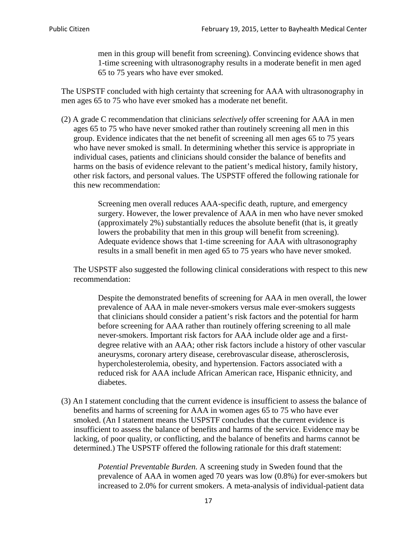men in this group will benefit from screening). Convincing evidence shows that 1-time screening with ultrasonography results in a moderate benefit in men aged 65 to 75 years who have ever smoked.

The USPSTF concluded with high certainty that screening for AAA with ultrasonography in men ages 65 to 75 who have ever smoked has a moderate net benefit.

(2) A grade C recommendation that clinicians *selectively* offer screening for AAA in men ages 65 to 75 who have never smoked rather than routinely screening all men in this group. Evidence indicates that the net benefit of screening all men ages 65 to 75 years who have never smoked is small. In determining whether this service is appropriate in individual cases, patients and clinicians should consider the balance of benefits and harms on the basis of evidence relevant to the patient's medical history, family history, other risk factors, and personal values. The USPSTF offered the following rationale for this new recommendation:

> Screening men overall reduces AAA-specific death, rupture, and emergency surgery. However, the lower prevalence of AAA in men who have never smoked (approximately 2%) substantially reduces the absolute benefit (that is, it greatly lowers the probability that men in this group will benefit from screening). Adequate evidence shows that 1-time screening for AAA with ultrasonography results in a small benefit in men aged 65 to 75 years who have never smoked.

The USPSTF also suggested the following clinical considerations with respect to this new recommendation:

Despite the demonstrated benefits of screening for AAA in men overall, the lower prevalence of AAA in male never-smokers versus male ever-smokers suggests that clinicians should consider a patient's risk factors and the potential for harm before screening for AAA rather than routinely offering screening to all male never-smokers. Important risk factors for AAA include older age and a firstdegree relative with an AAA; other risk factors include a history of other vascular aneurysms, coronary artery disease, cerebrovascular disease, atherosclerosis, hypercholesterolemia, obesity, and hypertension. Factors associated with a reduced risk for AAA include African American race, Hispanic ethnicity, and diabetes.

(3) An I statement concluding that the current evidence is insufficient to assess the balance of benefits and harms of screening for AAA in women ages 65 to 75 who have ever smoked. (An I statement means the USPSTF concludes that the current evidence is insufficient to assess the balance of benefits and harms of the service. Evidence may be lacking, of poor quality, or conflicting, and the balance of benefits and harms cannot be determined.) The USPSTF offered the following rationale for this draft statement:

> *Potential Preventable Burden.* A screening study in Sweden found that the prevalence of AAA in women aged 70 years was low (0.8%) for ever-smokers but increased to 2.0% for current smokers. A meta-analysis of individual-patient data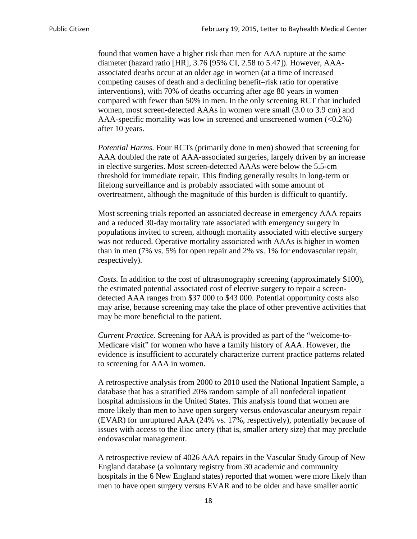found that women have a higher risk than men for AAA rupture at the same diameter (hazard ratio [HR], 3.76 [95% CI, 2.58 to 5.47]). However, AAAassociated deaths occur at an older age in women (at a time of increased competing causes of death and a declining benefit–risk ratio for operative interventions), with 70% of deaths occurring after age 80 years in women compared with fewer than 50% in men. In the only screening RCT that included women, most screen-detected AAAs in women were small (3.0 to 3.9 cm) and AAA-specific mortality was low in screened and unscreened women  $(<0.2\%)$ after 10 years.

*Potential Harms.* Four RCTs (primarily done in men) showed that screening for AAA doubled the rate of AAA-associated surgeries, largely driven by an increase in elective surgeries. Most screen-detected AAAs were below the 5.5-cm threshold for immediate repair. This finding generally results in long-term or lifelong surveillance and is probably associated with some amount of overtreatment, although the magnitude of this burden is difficult to quantify.

Most screening trials reported an associated decrease in emergency AAA repairs and a reduced 30-day mortality rate associated with emergency surgery in populations invited to screen, although mortality associated with elective surgery was not reduced. Operative mortality associated with AAAs is higher in women than in men (7% vs. 5% for open repair and 2% vs. 1% for endovascular repair, respectively).

*Costs.* In addition to the cost of ultrasonography screening (approximately \$100), the estimated potential associated cost of elective surgery to repair a screendetected AAA ranges from \$37 000 to \$43 000. Potential opportunity costs also may arise, because screening may take the place of other preventive activities that may be more beneficial to the patient.

*Current Practice.* Screening for AAA is provided as part of the "welcome-to-Medicare visit" for women who have a family history of AAA. However, the evidence is insufficient to accurately characterize current practice patterns related to screening for AAA in women.

A retrospective analysis from 2000 to 2010 used the National Inpatient Sample, a database that has a stratified 20% random sample of all nonfederal inpatient hospital admissions in the United States. This analysis found that women are more likely than men to have open surgery versus endovascular aneurysm repair (EVAR) for unruptured AAA (24% vs. 17%, respectively), potentially because of issues with access to the iliac artery (that is, smaller artery size) that may preclude endovascular management.

A retrospective review of 4026 AAA repairs in the Vascular Study Group of New England database (a voluntary registry from 30 academic and community hospitals in the 6 New England states) reported that women were more likely than men to have open surgery versus EVAR and to be older and have smaller aortic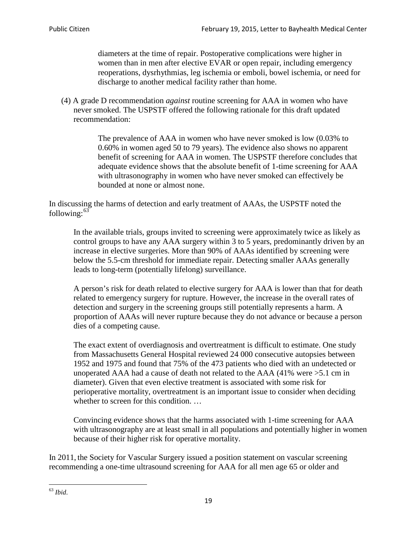diameters at the time of repair. Postoperative complications were higher in women than in men after elective EVAR or open repair, including emergency reoperations, dysrhythmias, leg ischemia or emboli, bowel ischemia, or need for discharge to another medical facility rather than home.

(4) A grade D recommendation *against* routine screening for AAA in women who have never smoked. The USPSTF offered the following rationale for this draft updated recommendation:

> The prevalence of AAA in women who have never smoked is low (0.03% to 0.60% in women aged 50 to 79 years). The evidence also shows no apparent benefit of screening for AAA in women. The USPSTF therefore concludes that adequate evidence shows that the absolute benefit of 1-time screening for AAA with ultrasonography in women who have never smoked can effectively be bounded at none or almost none.

In discussing the harms of detection and early treatment of AAAs, the USPSTF noted the following: $63$ 

In the available trials, groups invited to screening were approximately twice as likely as control groups to have any AAA surgery within 3 to 5 years, predominantly driven by an increase in elective surgeries. More than 90% of AAAs identified by screening were below the 5.5-cm threshold for immediate repair. Detecting smaller AAAs generally leads to long-term (potentially lifelong) surveillance.

A person's risk for death related to elective surgery for AAA is lower than that for death related to emergency surgery for rupture. However, the increase in the overall rates of detection and surgery in the screening groups still potentially represents a harm. A proportion of AAAs will never rupture because they do not advance or because a person dies of a competing cause.

The exact extent of overdiagnosis and overtreatment is difficult to estimate. One study from Massachusetts General Hospital reviewed 24 000 consecutive autopsies between 1952 and 1975 and found that 75% of the 473 patients who died with an undetected or unoperated AAA had a cause of death not related to the AAA (41% were >5.1 cm in diameter). Given that even elective treatment is associated with some risk for perioperative mortality, overtreatment is an important issue to consider when deciding whether to screen for this condition....

Convincing evidence shows that the harms associated with 1-time screening for AAA with ultrasonography are at least small in all populations and potentially higher in women because of their higher risk for operative mortality.

In 2011, the Society for Vascular Surgery issued a position statement on vascular screening recommending a one-time ultrasound screening for AAA for all men age 65 or older and

<span id="page-18-0"></span><sup>63</sup> *Ibid*.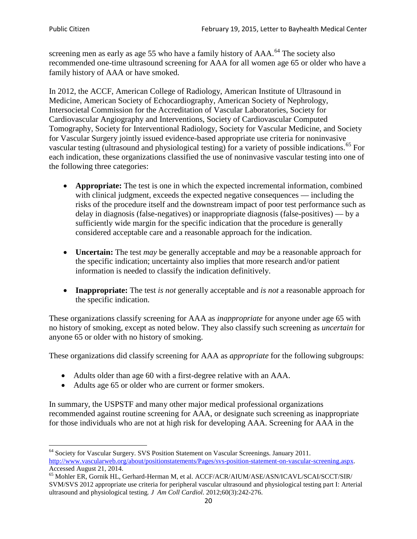screening men as early as age 55 who have a family history of AAA.<sup>[64](#page-19-0)</sup> The society also recommended one-time ultrasound screening for AAA for all women age 65 or older who have a family history of AAA or have smoked.

In 2012, the ACCF, American College of Radiology, American Institute of Ultrasound in Medicine, American Society of Echocardiography, American Society of Nephrology, Intersocietal Commission for the Accreditation of Vascular Laboratories, Society for Cardiovascular Angiography and Interventions, Society of Cardiovascular Computed Tomography, Society for Interventional Radiology, Society for Vascular Medicine, and Society for Vascular Surgery jointly issued evidence-based appropriate use criteria for noninvasive vascular testing (ultrasound and physiological testing) for a variety of possible indications.<sup>[65](#page-19-1)</sup> For each indication, these organizations classified the use of noninvasive vascular testing into one of the following three categories:

- **Appropriate:** The test is one in which the expected incremental information, combined with clinical judgment, exceeds the expected negative consequences — including the risks of the procedure itself and the downstream impact of poor test performance such as delay in diagnosis (false-negatives) or inappropriate diagnosis (false-positives) — by a sufficiently wide margin for the specific indication that the procedure is generally considered acceptable care and a reasonable approach for the indication.
- **Uncertain:** The test *may* be generally acceptable and *may* be a reasonable approach for the specific indication; uncertainty also implies that more research and/or patient information is needed to classify the indication definitively.
- **Inappropriate:** The test *is not* generally acceptable and *is not* a reasonable approach for the specific indication.

These organizations classify screening for AAA as *inappropriate* for anyone under age 65 with no history of smoking, except as noted below. They also classify such screening as *uncertain* for anyone 65 or older with no history of smoking.

These organizations did classify screening for AAA as *appropriate* for the following subgroups:

- Adults older than age 60 with a first-degree relative with an AAA.
- Adults age 65 or older who are current or former smokers.

In summary, the USPSTF and many other major medical professional organizations recommended against routine screening for AAA, or designate such screening as inappropriate for those individuals who are not at high risk for developing AAA. Screening for AAA in the

<span id="page-19-0"></span><sup>64</sup> Society for Vascular Surgery. SVS Position Statement on Vascular Screenings. January 2011. [http://www.vascularweb.org/about/positionstatements/Pages/svs-position-statement-on-vascular-screening.aspx.](http://www.vascularweb.org/about/positionstatements/Pages/svs-position-statement-on-vascular-screening.aspx) 

<span id="page-19-1"></span>Accessed August 21, 2014.<br><sup>65</sup> Mohler ER, Gornik HL, Gerhard-Herman M, et al. ACCF/ACR/AIUM/ASE/ASN/ICAVL/SCAI/SCCT/SIR/ SVM/SVS 2012 appropriate use criteria for peripheral vascular ultrasound and physiological testing part I: Arterial ultrasound and physiological testing*. J Am Coll Cardiol*. 2012;60(3):242-276.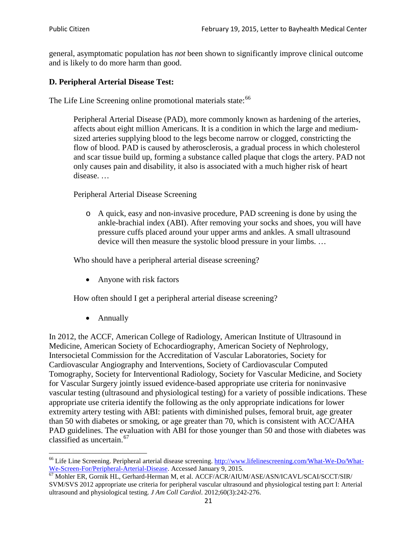general, asymptomatic population has *not* been shown to significantly improve clinical outcome and is likely to do more harm than good.

### **D. Peripheral Arterial Disease Test:**

The Life Line Screening online promotional materials state:<sup>[66](#page-20-0)</sup>

Peripheral Arterial Disease (PAD), more commonly known as hardening of the arteries, affects about eight million Americans. It is a condition in which the large and mediumsized arteries supplying blood to the legs become narrow or clogged, constricting the flow of blood. PAD is caused by atherosclerosis, a gradual process in which cholesterol and scar tissue build up, forming a substance called plaque that clogs the artery. PAD not only causes pain and disability, it also is associated with a much higher risk of heart disease. …

Peripheral Arterial Disease Screening

o A quick, easy and non-invasive procedure, PAD screening is done by using the ankle-brachial index (ABI). After removing your socks and shoes, you will have pressure cuffs placed around your upper arms and ankles. A small ultrasound device will then measure the systolic blood pressure in your limbs. …

Who should have a peripheral arterial disease screening?

• Anyone with risk factors

How often should I get a peripheral arterial disease screening?

• Annually

In 2012, the ACCF, American College of Radiology, American Institute of Ultrasound in Medicine, American Society of Echocardiography, American Society of Nephrology, Intersocietal Commission for the Accreditation of Vascular Laboratories, Society for Cardiovascular Angiography and Interventions, Society of Cardiovascular Computed Tomography, Society for Interventional Radiology, Society for Vascular Medicine, and Society for Vascular Surgery jointly issued evidence-based appropriate use criteria for noninvasive vascular testing (ultrasound and physiological testing) for a variety of possible indications. These appropriate use criteria identify the following as the only appropriate indications for lower extremity artery testing with ABI: patients with diminished pulses, femoral bruit, age greater than 50 with diabetes or smoking, or age greater than 70, which is consistent with ACC/AHA PAD guidelines. The evaluation with ABI for those younger than 50 and those with diabetes was classified as uncertain.<sup>[67](#page-20-1)</sup>

<span id="page-20-0"></span><sup>&</sup>lt;sup>66</sup> Life Line Screening. Peripheral arterial disease screening. [http://www.lifelinescreening.com/What-We-Do/What-](http://www.lifelinescreening.com/What-We-Do/What-We-Screen-For/Peripheral-Arterial-Disease)[We-Screen-For/Peripheral-Arterial-Disease.](http://www.lifelinescreening.com/What-We-Do/What-We-Screen-For/Peripheral-Arterial-Disease) Accessed January 9, 2015.<br><sup>67</sup> Mohler ER, Gornik HL, Gerhard-Herman M, et al. ACCF/ACR/AIUM/ASE/ASN/ICAVL/SCAI/SCCT/SIR/

<span id="page-20-1"></span>SVM/SVS 2012 appropriate use criteria for peripheral vascular ultrasound and physiological testing part I: Arterial ultrasound and physiological testing. *J Am Coll Cardiol*. 2012;60(3):242-276.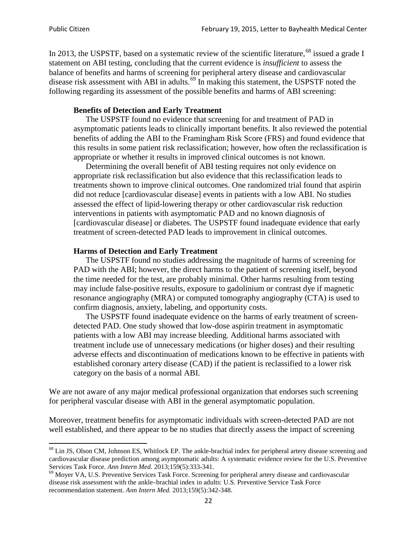In 2013, the USPSTF, based on a systematic review of the scientific literature,<sup>[68](#page-21-0)</sup> issued a grade I statement on ABI testing, concluding that the current evidence is *insufficient* to assess the balance of benefits and harms of screening for peripheral artery disease and cardiovascular disease risk assessment with ABI in adults.<sup>[69](#page-21-1)</sup> In making this statement, the USPSTF noted the following regarding its assessment of the possible benefits and harms of ABI screening:

#### **Benefits of Detection and Early Treatment**

The USPSTF found no evidence that screening for and treatment of PAD in asymptomatic patients leads to clinically important benefits. It also reviewed the potential benefits of adding the ABI to the Framingham Risk Score (FRS) and found evidence that this results in some patient risk reclassification; however, how often the reclassification is appropriate or whether it results in improved clinical outcomes is not known.

Determining the overall benefit of ABI testing requires not only evidence on appropriate risk reclassification but also evidence that this reclassification leads to treatments shown to improve clinical outcomes. One randomized trial found that aspirin did not reduce [cardiovascular disease] events in patients with a low ABI. No studies assessed the effect of lipid-lowering therapy or other cardiovascular risk reduction interventions in patients with asymptomatic PAD and no known diagnosis of [cardiovascular disease] or diabetes. The USPSTF found inadequate evidence that early treatment of screen-detected PAD leads to improvement in clinical outcomes.

#### **Harms of Detection and Early Treatment**

The USPSTF found no studies addressing the magnitude of harms of screening for PAD with the ABI; however, the direct harms to the patient of screening itself, beyond the time needed for the test, are probably minimal. Other harms resulting from testing may include false-positive results, exposure to gadolinium or contrast dye if magnetic resonance angiography (MRA) or computed tomography angiography (CTA) is used to confirm diagnosis, anxiety, labeling, and opportunity costs.

The USPSTF found inadequate evidence on the harms of early treatment of screendetected PAD. One study showed that low-dose aspirin treatment in asymptomatic patients with a low ABI may increase bleeding. Additional harms associated with treatment include use of unnecessary medications (or higher doses) and their resulting adverse effects and discontinuation of medications known to be effective in patients with established coronary artery disease (CAD) if the patient is reclassified to a lower risk category on the basis of a normal ABI.

We are not aware of any major medical professional organization that endorses such screening for peripheral vascular disease with ABI in the general asymptomatic population.

Moreover, treatment benefits for asymptomatic individuals with screen-detected PAD are not well established, and there appear to be no studies that directly assess the impact of screening

<span id="page-21-0"></span><sup>&</sup>lt;sup>68</sup> Lin JS, Olson CM, Johnson ES, Whitlock EP. The ankle-brachial index for peripheral artery disease screening and cardiovascular disease prediction among asymptomatic adults: A systematic evidence review for the U.S. Preventive Services Task Force. *Ann Intern Med.* 2013;159(5):333-341.<br><sup>69</sup> Moyer VA, U.S. Preventive Services Task Force. Screening for peripheral artery disease and cardiovascular

<span id="page-21-1"></span>disease risk assessment with the ankle–brachial index in adults: U.S. Preventive Service Task Force recommendation statement. *Ann Intern Med.* 2013;159(5):342-348.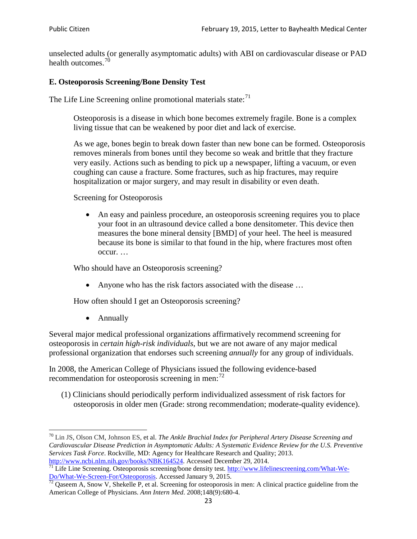unselected adults (or generally asymptomatic adults) with ABI on cardiovascular disease or PAD health outcomes.<sup>[70](#page-22-0)</sup>

### **E. Osteoporosis Screening/Bone Density Test**

The Life Line Screening online promotional materials state: $71$ 

Osteoporosis is a disease in which bone becomes extremely fragile. Bone is a complex living tissue that can be weakened by poor diet and lack of exercise.

As we age, bones begin to break down faster than new bone can be formed. Osteoporosis removes minerals from bones until they become so weak and brittle that they fracture very easily. Actions such as bending to pick up a newspaper, lifting a vacuum, or even coughing can cause a fracture. Some fractures, such as hip fractures, may require hospitalization or major surgery, and may result in disability or even death.

Screening for Osteoporosis

• An easy and painless procedure, an osteoporosis screening requires you to place your foot in an ultrasound device called a bone densitometer. This device then measures the bone mineral density [BMD] of your heel. The heel is measured because its bone is similar to that found in the hip, where fractures most often occur. …

Who should have an Osteoporosis screening?

• Anyone who has the risk factors associated with the disease ...

How often should I get an Osteoporosis screening?

• Annually

Several major medical professional organizations affirmatively recommend screening for osteoporosis in *certain high-risk individuals*, but we are not aware of any major medical professional organization that endorses such screening *annually* for any group of individuals.

In 2008, the American College of Physicians issued the following evidence-based recommendation for osteoporosis screening in men: $^{72}$  $^{72}$  $^{72}$ 

(1) Clinicians should periodically perform individualized assessment of risk factors for osteoporosis in older men (Grade: strong recommendation; moderate-quality evidence).

<span id="page-22-0"></span><sup>70</sup> [Lin JS,](http://www.ncbi.nlm.nih.gov/pubmed?term=Lin%20JS%5BAuthor%5D&cauthor=true&cauthor_uid=24156115) [Olson CM,](http://www.ncbi.nlm.nih.gov/pubmed?term=Olson%20CM%5BAuthor%5D&cauthor=true&cauthor_uid=24156115) [Johnson ES,](http://www.ncbi.nlm.nih.gov/pubmed?term=Johnson%20ES%5BAuthor%5D&cauthor=true&cauthor_uid=24156115) et al. *The Ankle Brachial Index for Peripheral Artery Disease Screening and Cardiovascular Disease Prediction in Asymptomatic Adults: A Systematic Evidence Review for the U.S. Preventive Services Task Force*. Rockville, MD: Agency for Healthcare Research and Quality; 2013.<br>http://www.ncbi.nlm.nih.gov/books/NBK164524. Accessed December 29, 2014.

<span id="page-22-1"></span> $\frac{1}{71}$  Life Line Screening. Osteoporosis screening/bone density test. [http://www.lifelinescreening.com/What-We-](http://www.lifelinescreening.com/What-We-Do/What-We-Screen-For/Osteoporosis)[Do/What-We-Screen-For/Osteoporosis.](http://www.lifelinescreening.com/What-We-Do/What-We-Screen-For/Osteoporosis) Accessed January 9, 2015. <sup>72</sup> Qaseem A, Snow V, Shekelle P, et al. Screening for osteoporosis in men: A clinical practice guideline from the

<span id="page-22-2"></span>American College of Physicians. *Ann Intern Med*. 2008;148(9):680-4.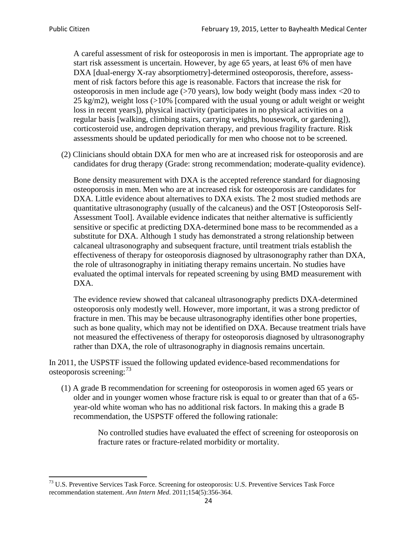A careful assessment of risk for osteoporosis in men is important. The appropriate age to start risk assessment is uncertain. However, by age 65 years, at least 6% of men have DXA [dual-energy X-ray absorptiometry]-determined osteoporosis, therefore, assessment of risk factors before this age is reasonable. Factors that increase the risk for osteoporosis in men include age (>70 years), low body weight (body mass index <20 to 25 kg/m2), weight loss  $\langle$  >10% [compared with the usual young or adult weight or weight loss in recent years]), physical inactivity (participates in no physical activities on a regular basis [walking, climbing stairs, carrying weights, housework, or gardening]), corticosteroid use, androgen deprivation therapy, and previous fragility fracture. Risk assessments should be updated periodically for men who choose not to be screened.

(2) Clinicians should obtain DXA for men who are at increased risk for osteoporosis and are candidates for drug therapy (Grade: strong recommendation; moderate-quality evidence).

Bone density measurement with DXA is the accepted reference standard for diagnosing osteoporosis in men. Men who are at increased risk for osteoporosis are candidates for DXA. Little evidence about alternatives to DXA exists. The 2 most studied methods are quantitative ultrasonography (usually of the calcaneus) and the OST [Osteoporosis Self-Assessment Tool]. Available evidence indicates that neither alternative is sufficiently sensitive or specific at predicting DXA-determined bone mass to be recommended as a substitute for DXA. Although 1 study has demonstrated a strong relationship between calcaneal ultrasonography and subsequent fracture, until treatment trials establish the effectiveness of therapy for osteoporosis diagnosed by ultrasonography rather than DXA, the role of ultrasonography in initiating therapy remains uncertain. No studies have evaluated the optimal intervals for repeated screening by using BMD measurement with DXA.

The evidence review showed that calcaneal ultrasonography predicts DXA-determined osteoporosis only modestly well. However, more important, it was a strong predictor of fracture in men. This may be because ultrasonography identifies other bone properties, such as bone quality, which may not be identified on DXA. Because treatment trials have not measured the effectiveness of therapy for osteoporosis diagnosed by ultrasonography rather than DXA, the role of ultrasonography in diagnosis remains uncertain.

In 2011, the USPSTF issued the following updated evidence-based recommendations for osteoporosis screening:<sup>[73](#page-23-0)</sup>

(1) A grade B recommendation for screening for osteoporosis in women aged 65 years or older and in younger women whose fracture risk is equal to or greater than that of a 65 year-old white woman who has no additional risk factors. In making this a grade B recommendation, the USPSTF offered the following rationale:

> No controlled studies have evaluated the effect of screening for osteoporosis on fracture rates or fracture-related morbidity or mortality.

<span id="page-23-0"></span><sup>&</sup>lt;sup>73</sup> U.S. Preventive Services Task Force. Screening for osteoporosis: U.S. Preventive Services Task Force recommendation statement. *Ann Intern Med*. 2011;154(5):356-364.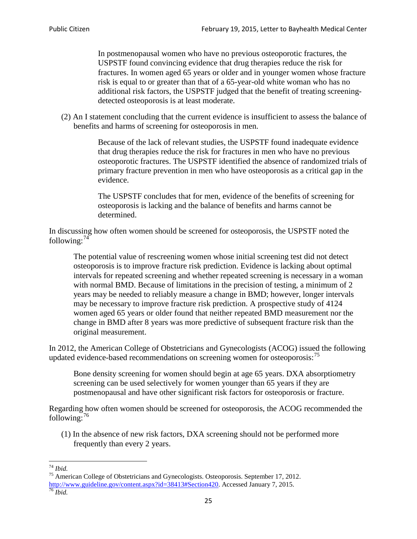In postmenopausal women who have no previous osteoporotic fractures, the USPSTF found convincing evidence that drug therapies reduce the risk for fractures. In women aged 65 years or older and in younger women whose fracture risk is equal to or greater than that of a 65-year-old white woman who has no additional risk factors, the USPSTF judged that the benefit of treating screeningdetected osteoporosis is at least moderate.

(2) An I statement concluding that the current evidence is insufficient to assess the balance of benefits and harms of screening for osteoporosis in men.

> Because of the lack of relevant studies, the USPSTF found inadequate evidence that drug therapies reduce the risk for fractures in men who have no previous osteoporotic fractures. The USPSTF identified the absence of randomized trials of primary fracture prevention in men who have osteoporosis as a critical gap in the evidence.

The USPSTF concludes that for men, evidence of the benefits of screening for osteoporosis is lacking and the balance of benefits and harms cannot be determined.

In discussing how often women should be screened for osteoporosis, the USPSTF noted the following: $74$ 

The potential value of rescreening women whose initial screening test did not detect osteoporosis is to improve fracture risk prediction. Evidence is lacking about optimal intervals for repeated screening and whether repeated screening is necessary in a woman with normal BMD. Because of limitations in the precision of testing, a minimum of 2 years may be needed to reliably measure a change in BMD; however, longer intervals may be necessary to improve fracture risk prediction. A prospective study of 4124 women aged 65 years or older found that neither repeated BMD measurement nor the change in BMD after 8 years was more predictive of subsequent fracture risk than the original measurement.

In 2012, the American College of Obstetricians and Gynecologists (ACOG) issued the following updated evidence-based recommendations on screening women for osteoporosis:<sup>[75](#page-24-1)</sup>

Bone density screening for women should begin at age 65 years. DXA absorptiometry screening can be used selectively for women younger than 65 years if they are postmenopausal and have other significant risk factors for osteoporosis or fracture.

Regarding how often women should be screened for osteoporosis, the ACOG recommended the following: $^{76}$  $^{76}$  $^{76}$ 

(1) In the absence of new risk factors, DXA screening should not be performed more frequently than every 2 years.

<span id="page-24-2"></span><span id="page-24-1"></span><span id="page-24-0"></span><sup>74</sup> *Ibid.* <sup>75</sup> American College of Obstetricians and Gynecologists. Osteoporosis. September 17, 2012. [http://www.guideline.gov/content.aspx?id=38413#Section420.](http://www.guideline.gov/content.aspx?id=38413#Section420) Accessed January 7, 2015.<br><sup>76</sup> *Ibid.*